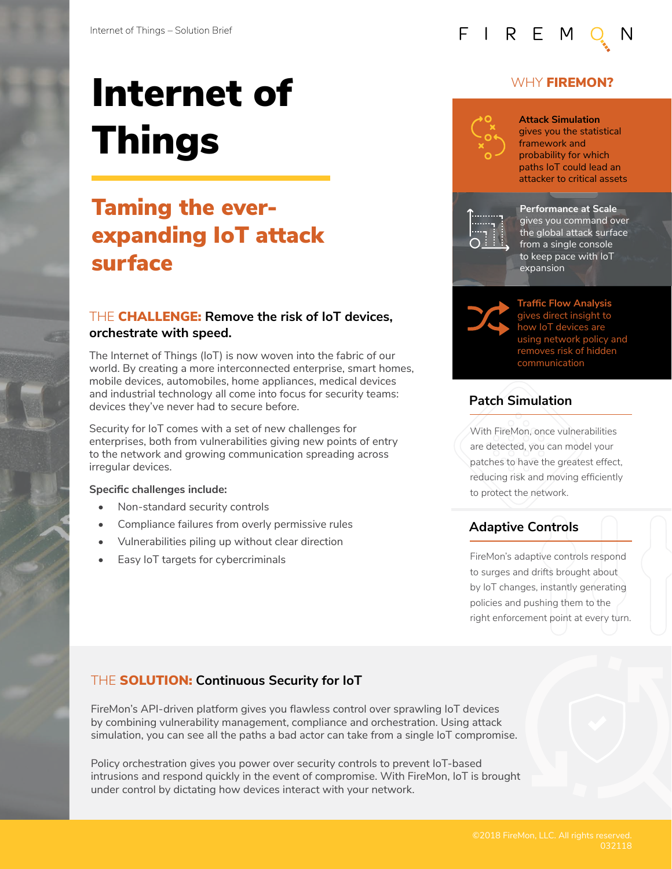# Internet of Things

## Taming the everexpanding IoT attack surface

#### THE CHALLENGE: **Remove the risk of IoT devices, orchestrate with speed.**

The Internet of Things (IoT) is now woven into the fabric of our world. By creating a more interconnected enterprise, smart homes, mobile devices, automobiles, home appliances, medical devices and industrial technology all come into focus for security teams: devices they've never had to secure before.

Security for IoT comes with a set of new challenges for enterprises, both from vulnerabilities giving new points of entry to the network and growing communication spreading across irregular devices.

#### **Specific challenges include:**

- Non-standard security controls
- Compliance failures from overly permissive rules
- Vulnerabilities piling up without clear direction
- **Easy IoT targets for cybercriminals**

#### WHY **FIREMON?**



FIREM

gives you the statistical framework and probability for which paths IoT could lead an attacker to critical assets



**Performance at Scale**  gives you command over the global attack surface from a single console to keep pace with IoT expansion



**Traffic Flow Analysis**  gives direct insight to how IoT devices are using network policy and removes risk of hidden communication

#### **Patch Simulation**

With FireMon, once vulnerabilities are detected, you can model your patches to have the greatest effect, reducing risk and moving efficiently to protect the network.

### **Adaptive Controls**

FireMon's adaptive controls respond to surges and drifts brought about by IoT changes, instantly generating policies and pushing them to the right enforcement point at every turn.

#### THE SOLUTION: **Continuous Security for IoT**

FireMon's API-driven platform gives you flawless control over sprawling IoT devices by combining vulnerability management, compliance and orchestration. Using attack simulation, you can see all the paths a bad actor can take from a single IoT compromise.

Policy orchestration gives you power over security controls to prevent IoT-based intrusions and respond quickly in the event of compromise. With FireMon, IoT is brought under control by dictating how devices interact with your network.